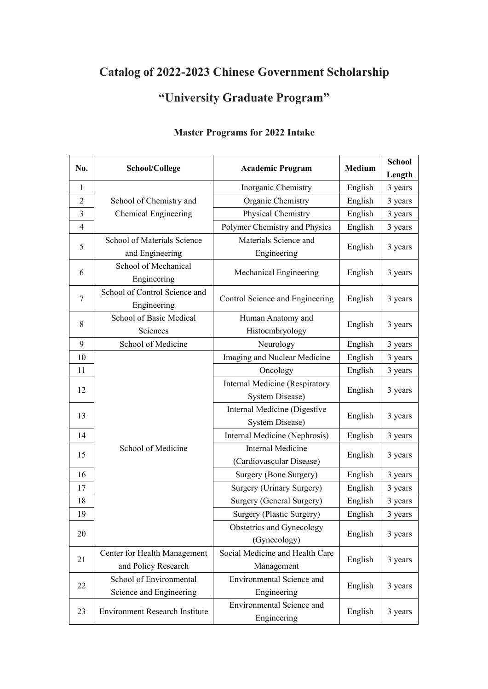## **Catalog of 2022-2023 Chinese Government Scholarship**

## **"University Graduate Program"**

| No.            | School/College                               | <b>Academic Program</b>                              | Medium  | <b>School</b> |
|----------------|----------------------------------------------|------------------------------------------------------|---------|---------------|
|                |                                              |                                                      |         | Length        |
| $\mathbf{1}$   |                                              | Inorganic Chemistry                                  | English | 3 years       |
| $\overline{c}$ | School of Chemistry and                      | Organic Chemistry                                    | English | 3 years       |
| 3              | Chemical Engineering                         | Physical Chemistry                                   | English | 3 years       |
| $\overline{4}$ |                                              | Polymer Chemistry and Physics                        | English | 3 years       |
| 5              | School of Materials Science                  | Materials Science and                                | English | 3 years       |
|                | and Engineering                              | Engineering                                          |         |               |
| 6              | School of Mechanical<br>Engineering          | Mechanical Engineering                               | English | 3 years       |
| $\tau$         | School of Control Science and<br>Engineering | Control Science and Engineering                      | English | 3 years       |
| 8              | School of Basic Medical                      | Human Anatomy and                                    | English | 3 years       |
|                | Sciences                                     | Histoembryology                                      |         |               |
| 9              | School of Medicine                           | Neurology                                            | English | 3 years       |
| $10\,$         |                                              | Imaging and Nuclear Medicine                         | English | 3 years       |
| 11             |                                              | Oncology                                             | English | 3 years       |
|                |                                              | Internal Medicine (Respiratory                       | English | 3 years       |
| 12             |                                              | System Disease)                                      |         |               |
| 13             |                                              | Internal Medicine (Digestive                         | English | 3 years       |
|                |                                              | <b>System Disease)</b>                               |         |               |
| 14             | School of Medicine                           | Internal Medicine (Nephrosis)                        | English | 3 years       |
| 15             |                                              | <b>Internal Medicine</b><br>(Cardiovascular Disease) | English | 3 years       |
| 16             |                                              | Surgery (Bone Surgery)                               | English | 3 years       |
| 17             |                                              | Surgery (Urinary Surgery)                            | English | 3 years       |
| 18             |                                              | Surgery (General Surgery)                            | English | 3 years       |
| 19             |                                              | Surgery (Plastic Surgery)                            | English | 3 years       |
| 20             |                                              | Obstetrics and Gynecology<br>(Gynecology)            | English | 3 years       |
|                | Center for Health Management                 | Social Medicine and Health Care                      | English | 3 years       |
| 21             | and Policy Research                          | Management                                           |         |               |
| 22             | School of Environmental                      | <b>Environmental Science and</b>                     | English |               |
|                | Science and Engineering                      | Engineering                                          |         | 3 years       |
| 23             | <b>Environment Research Institute</b>        | <b>Environmental Science and</b><br>Engineering      | English | 3 years       |

## **Master Programs for 2022 Intake**